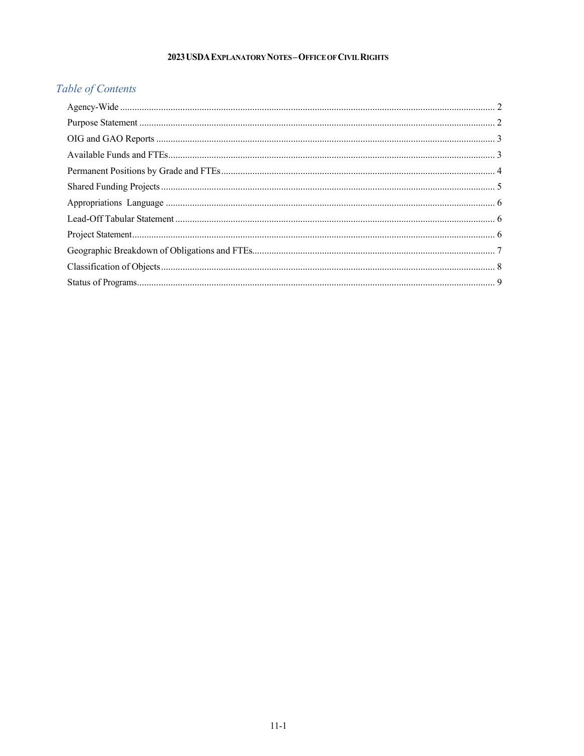#### 2023 USDA EXPLANATORY NOTES-OFFICE OF CIVIL RIGHTS

# Table of Contents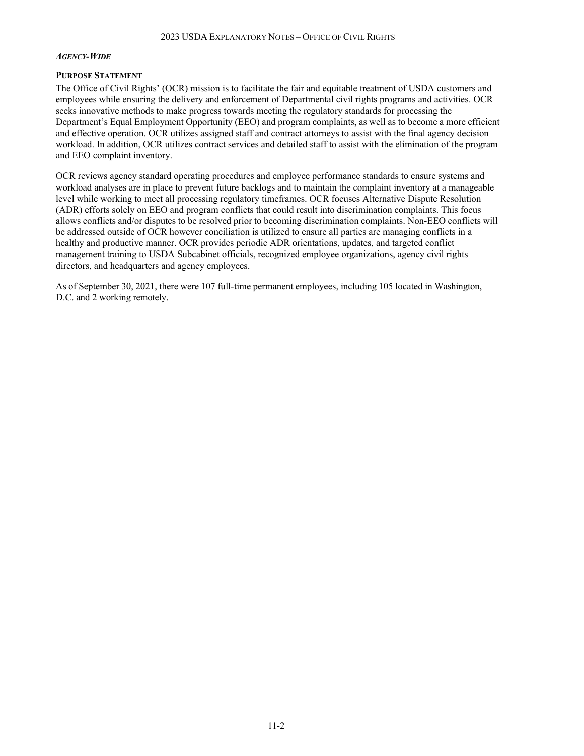#### <span id="page-1-0"></span>*AGENCY-WIDE*

#### <span id="page-1-1"></span>**PURPOSE STATEMENT**

The Office of Civil Rights' (OCR) mission is to facilitate the fair and equitable treatment of USDA customers and employees while ensuring the delivery and enforcement of Departmental civil rights programs and activities. OCR seeks innovative methods to make progress towards meeting the regulatory standards for processing the Department's Equal Employment Opportunity (EEO) and program complaints, as well as to become a more efficient and effective operation. OCR utilizes assigned staff and contract attorneys to assist with the final agency decision workload. In addition, OCR utilizes contract services and detailed staff to assist with the elimination of the program and EEO complaint inventory.

OCR reviews agency standard operating procedures and employee performance standards to ensure systems and workload analyses are in place to prevent future backlogs and to maintain the complaint inventory at a manageable level while working to meet all processing regulatory timeframes. OCR focuses Alternative Dispute Resolution (ADR) efforts solely on EEO and program conflicts that could result into discrimination complaints. This focus allows conflicts and/or disputes to be resolved prior to becoming discrimination complaints. Non-EEO conflicts will be addressed outside of OCR however conciliation is utilized to ensure all parties are managing conflicts in a healthy and productive manner. OCR provides periodic ADR orientations, updates, and targeted conflict management training to USDA Subcabinet officials, recognized employee organizations, agency civil rights directors, and headquarters and agency employees.

As of September 30, 2021, there were 107 full-time permanent employees, including 105 located in Washington, D.C. and 2 working remotely.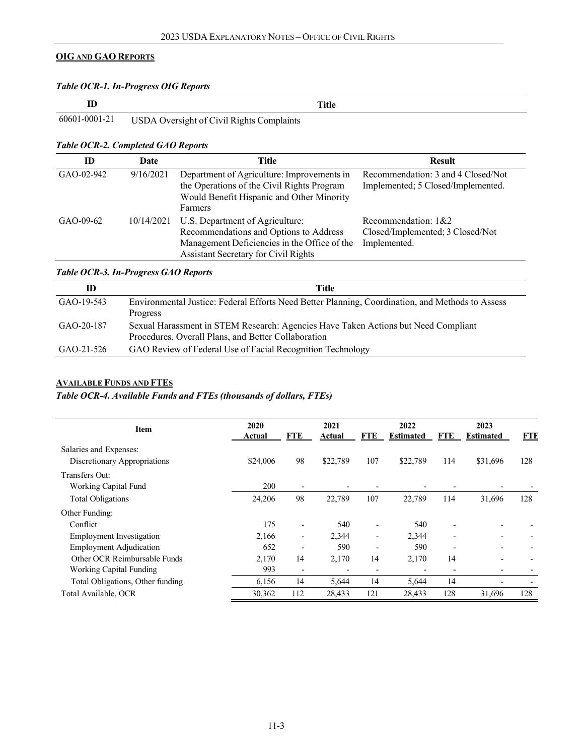#### <span id="page-2-0"></span>**OIG AND GAO REPORTS**

#### *Table OCR-1. In-Progress OIG Reports*

|                                                         | <b>Title</b> |
|---------------------------------------------------------|--------------|
| 60601-0001-21 USDA Oversight of Civil Rights Complaints |              |

#### *Table OCR-2. Completed GAO Reports*

| ID          | Date       | Title                                                                                                                                                             | <b>Result</b>                                                            |
|-------------|------------|-------------------------------------------------------------------------------------------------------------------------------------------------------------------|--------------------------------------------------------------------------|
| GAO-02-942  | 9/16/2021  | Department of Agriculture: Improvements in<br>the Operations of the Civil Rights Program<br>Would Benefit Hispanic and Other Minority<br>Farmers                  | Recommendation: 3 and 4 Closed/Not<br>Implemented; 5 Closed/Implemented. |
| $GAO-09-62$ | 10/14/2021 | U.S. Department of Agriculture:<br>Recommendations and Options to Address<br>Management Deficiencies in the Office of the<br>Assistant Secretary for Civil Rights | Recommendation: 1&2<br>Closed/Implemented; 3 Closed/Not<br>Implemented.  |

#### *Table OCR-3. In-Progress GAO Reports*

| ID           | Title                                                                                                                                     |
|--------------|-------------------------------------------------------------------------------------------------------------------------------------------|
| $GAO-19-543$ | Environmental Justice: Federal Efforts Need Better Planning, Coordination, and Methods to Assess<br>Progress                              |
| GAO-20-187   | Sexual Harassment in STEM Research: Agencies Have Taken Actions but Need Compliant<br>Procedures, Overall Plans, and Better Collaboration |
| GAO-21-526   | GAO Review of Federal Use of Facial Recognition Technology                                                                                |

### <span id="page-2-1"></span>**AVAILABLE FUNDS AND FTES**

#### *Table OCR-4. Available Funds and FTEs (thousands of dollars, FTEs)*

| <b>Item</b>                      | 2020<br>Actual | FTE                      | 2021<br>Actual           | FTE | 2022<br><b>Estimated</b> | FTE | 2023<br><b>Estimated</b> | <b>FTE</b> |
|----------------------------------|----------------|--------------------------|--------------------------|-----|--------------------------|-----|--------------------------|------------|
| Salaries and Expenses:           |                |                          |                          |     |                          |     |                          |            |
| Discretionary Appropriations     | \$24,006       | 98                       | \$22,789                 | 107 | \$22,789                 | 114 | \$31,696                 | 128        |
| Transfers Out:                   |                |                          |                          |     |                          |     |                          |            |
| Working Capital Fund             | 200            | $\overline{\phantom{a}}$ | ٠                        |     |                          |     |                          |            |
| <b>Total Obligations</b>         | 24,206         | 98                       | 22,789                   | 107 | 22,789                   | 114 | 31,696                   | 128        |
| Other Funding:                   |                |                          |                          |     |                          |     |                          |            |
| Conflict                         | 175            | $\overline{\phantom{a}}$ | 540                      |     | 540                      |     |                          |            |
| <b>Employment Investigation</b>  | 2,166          | $\overline{\phantom{a}}$ | 2,344                    |     | 2,344                    |     |                          |            |
| <b>Employment Adjudication</b>   | 652            | $\overline{\phantom{a}}$ | 590                      |     | 590                      |     |                          |            |
| Other OCR Reimbursable Funds     | 2,170          | 14                       | 2,170                    | 14  | 2,170                    | 14  |                          |            |
| <b>Working Capital Funding</b>   | 993            | $\overline{\phantom{a}}$ | $\overline{\phantom{0}}$ |     |                          |     |                          |            |
| Total Obligations, Other funding | 6,156          | 14                       | 5,644                    | 14  | 5,644                    | 14  |                          |            |
| Total Available, OCR             | 30,362         | 112                      | 28,433                   | 121 | 28,433                   | 128 | 31,696                   | 128        |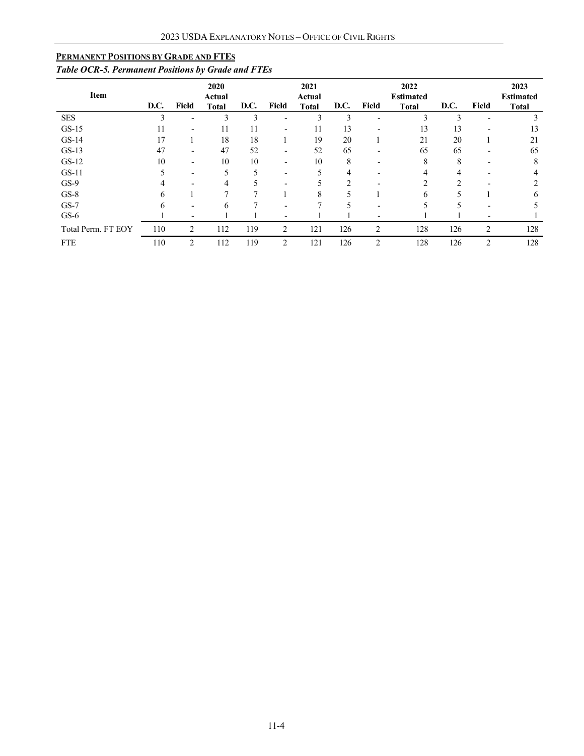#### <span id="page-3-0"></span>**PERMANENT POSITIONS BY GRADE AND FTES**

# *Table OCR-5. Permanent Positions by Grade and FTEs*

| Item               | D.C. | <b>Field</b>             | 2020<br><b>Actual</b><br><b>Total</b> | D.C. | <b>Field</b>             | 2021<br><b>Actual</b><br><b>Total</b> | D.C.          | Field                    | 2022<br><b>Estimated</b><br><b>Total</b> | D.C. | Field                    | 2023<br><b>Estimated</b><br><b>Total</b> |
|--------------------|------|--------------------------|---------------------------------------|------|--------------------------|---------------------------------------|---------------|--------------------------|------------------------------------------|------|--------------------------|------------------------------------------|
| <b>SES</b>         |      |                          | 3                                     | 3    |                          | 3                                     | 3             |                          | 3                                        | 3    |                          |                                          |
| $GS-15$            | 11   | $\blacksquare$           | 11                                    | 11   | -                        | 11                                    | 13            |                          | 13                                       | 13   |                          | 13                                       |
| $GS-14$            | 17   |                          | 18                                    | 18   |                          | 19                                    | 20            |                          | 21                                       | 20   |                          | 21                                       |
| $GS-13$            | 47   | $\overline{\phantom{0}}$ | 47                                    | 52   | $\overline{\phantom{a}}$ | 52                                    | 65            | $\overline{\phantom{0}}$ | 65                                       | 65   | $\overline{\phantom{0}}$ | 65                                       |
| $GS-12$            | 10   |                          | 10                                    | 10   | $\overline{\phantom{0}}$ | 10                                    | 8             |                          | 8                                        | 8    |                          | 8                                        |
| $GS-11$            |      | $\overline{\phantom{0}}$ |                                       |      |                          |                                       | 4             |                          | 4                                        | 4    |                          |                                          |
| $GS-9$             |      |                          |                                       |      |                          |                                       | $\mathcal{D}$ |                          | C                                        | າ    |                          |                                          |
| $GS-8$             | h    |                          |                                       |      |                          | 8                                     |               |                          | 6                                        |      |                          | 6                                        |
| $GS-7$             |      | $\overline{\phantom{0}}$ | 6                                     |      |                          |                                       |               | $\overline{\phantom{0}}$ |                                          |      |                          |                                          |
| $GS-6$             |      | $\overline{\phantom{0}}$ |                                       |      |                          |                                       |               |                          |                                          |      |                          |                                          |
| Total Perm. FT EOY | 110  | 2                        | 112                                   | 119  | 2                        | 121                                   | 126           | $\overline{2}$           | 128                                      | 126  | $\overline{2}$           | 128                                      |
| <b>FTE</b>         | 110  | $\overline{2}$           | 112                                   | 119  | 2                        | 121                                   | 126           | $\overline{2}$           | 128                                      | 126  | 2                        | 128                                      |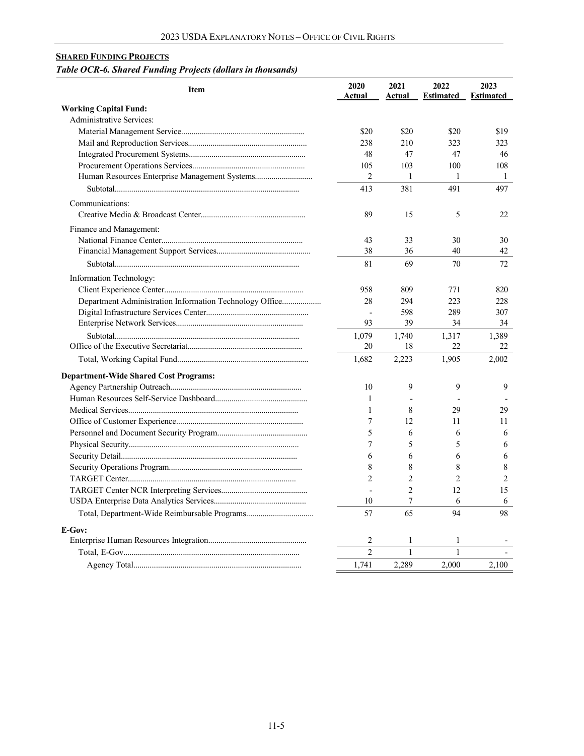# <span id="page-4-0"></span>**SHARED FUNDING PROJECTS**

# *Table OCR-6. Shared Funding Projects (dollars in thousands)*

| <b>Item</b>                                             | 2020<br>Actual | 2021<br>Actual           | 2022<br><b>Estimated</b> | 2023<br><b>Estimated</b> |
|---------------------------------------------------------|----------------|--------------------------|--------------------------|--------------------------|
| <b>Working Capital Fund:</b>                            |                |                          |                          |                          |
| <b>Administrative Services:</b>                         |                |                          |                          |                          |
|                                                         | \$20           | \$20                     | \$20                     | \$19                     |
|                                                         | 238            | 210                      | 323                      | 323                      |
|                                                         | 48             | 47                       | 47                       | 46                       |
|                                                         | 105            | 103                      | 100                      | 108                      |
|                                                         | 2              | $\mathbf{1}$             | 1                        | 1                        |
|                                                         | 413            | 381                      | 491                      | 497                      |
| Communications:                                         |                |                          |                          |                          |
|                                                         | 89             | 15                       | 5                        | 22                       |
| Finance and Management:                                 |                |                          |                          |                          |
|                                                         | 43             | 33                       | 30                       | 30                       |
|                                                         | 38             | 36                       | 40                       | 42.                      |
|                                                         | 81             | 69                       | 70                       | 72                       |
| Information Technology:                                 |                |                          |                          |                          |
|                                                         | 958            | 809                      | 771                      | 820                      |
| Department Administration Information Technology Office | 28             | 294                      | 223                      | 228                      |
|                                                         | $\overline{a}$ | 598                      | 289                      | 307                      |
|                                                         | 93             | 39                       | 34                       | 34                       |
|                                                         | 1,079          | 1,740                    | 1,317                    | 1,389                    |
|                                                         | 20             | 18                       | 22                       | 22                       |
|                                                         | 1,682          | 2,223                    | 1,905                    | 2,002                    |
| <b>Department-Wide Shared Cost Programs:</b>            |                |                          |                          |                          |
|                                                         | 10             | 9                        | 9                        | 9                        |
|                                                         | 1              | $\overline{\phantom{a}}$ |                          |                          |
|                                                         | 1              | 8                        | 29                       | 29                       |
|                                                         | 7              | 12                       | 11                       | 11                       |
|                                                         | 5              | 6                        | 6                        | 6                        |
|                                                         | 7              | 5                        | 5                        | 6                        |
|                                                         | 6              | 6                        | 6                        | 6                        |
|                                                         | 8              | 8                        | 8                        | 8                        |
|                                                         | $\mathfrak{D}$ | $\overline{c}$           | $\mathfrak{D}$           | $\overline{2}$           |
|                                                         | L.             | $\overline{c}$           | 12                       | 15                       |
|                                                         | 10             | 7                        | 6                        | 6                        |
|                                                         | 57             | 65                       | 94                       | 98                       |
| E-Gov:                                                  |                |                          |                          |                          |
|                                                         | 2              | 1                        | 1                        |                          |
|                                                         | $\overline{2}$ | $\mathbf{1}$             | $\mathbf{1}$             |                          |
|                                                         | 1,741          | 2,289                    | 2,000                    | 2,100                    |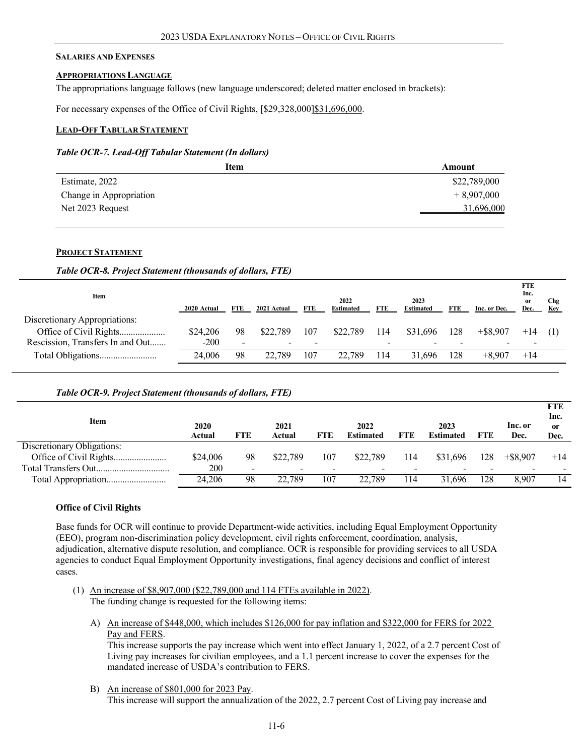#### **SALARIES AND EXPENSES**

#### <span id="page-5-0"></span>**APPROPRIATIONS LANGUAGE**

The appropriations language follows (new language underscored; deleted matter enclosed in brackets):

For necessary expenses of the Office of Civil Rights, [\$29,328,000]\$31,696,000.

#### <span id="page-5-1"></span>**LEAD-OFF TABULAR STATEMENT**

#### *Table OCR-7. Lead-Off Tabular Statement (In dollars)*

| Item                    | Amount       |
|-------------------------|--------------|
| Estimate, 2022          | \$22,789,000 |
| Change in Appropriation | $+8,907,000$ |
| Net 2023 Request        | 31,696,000   |

#### **PROJECT STATEMENT**

#### *Table OCR-8. Project Statement (thousands of dollars, FTE)*

<span id="page-5-2"></span>

| Item                             | 2020 Actual | FTE | 2021 Actual | <b>FTE</b> | 2022<br><b>Estimated</b> | FTE | 2023<br><b>Estimated</b> | <b>FTE</b> | Inc. or Dec. | <b>FTE</b><br>Inc.<br>or<br>Dec. | Chg<br>Key |
|----------------------------------|-------------|-----|-------------|------------|--------------------------|-----|--------------------------|------------|--------------|----------------------------------|------------|
| Discretionary Appropriations:    |             |     |             |            |                          |     |                          |            |              |                                  |            |
| Office of Civil Rights           | \$24,206    | 98  | \$22,789    | 107        | \$22,789                 | 114 | \$31.696                 | 128        | $+$ \$8,907  | $+14$                            |            |
| Rescission, Transfers In and Out | $-200$      | -   |             |            |                          |     |                          |            |              |                                  |            |
|                                  | 24,006      | 98  | 22,789      | 107        | 22.789                   | 114 | 31.696                   | 128        | $+8.907$     | $+14$                            |            |

#### *Table OCR-9. Project Statement (thousands of dollars, FTE)*

| Item                       | 2020<br>Actual | FTE | 2021<br>Actual           | <b>FTE</b> | 2022<br><b>Estimated</b> | <b>FTE</b> | 2023<br><b>Estimated</b> | FTE | Inc. or<br>Dec. | <b>FTE</b><br>Inc.<br>0r<br>Dec. |
|----------------------------|----------------|-----|--------------------------|------------|--------------------------|------------|--------------------------|-----|-----------------|----------------------------------|
| Discretionary Obligations: |                |     |                          |            |                          |            |                          |     |                 |                                  |
|                            | \$24,006       | 98  | \$22,789                 | 107        | \$22,789                 | 114        | \$31,696                 | 128 | $+$ \$8,907     | $+14$                            |
|                            | 200            |     | $\overline{\phantom{0}}$ |            | -                        |            |                          |     |                 |                                  |
|                            | 24.206         | 98  | 22.789                   | 107        | 22,789                   | 114        | 31.696                   | 128 | 8.907           | 14                               |

#### **Office of Civil Rights**

Base funds for OCR will continue to provide Department-wide activities, including Equal Employment Opportunity (EEO), program non-discrimination policy development, civil rights enforcement, coordination, analysis, adjudication, alternative dispute resolution, and compliance. OCR is responsible for providing services to all USDA agencies to conduct Equal Employment Opportunity investigations, final agency decisions and conflict of interest cases.

- (1) An increase of \$8,907,000 (\$22,789,000 and 114 FTEs available in 2022). The funding change is requested for the following items:
	- A) An increase of \$448,000, which includes \$126,000 for pay inflation and \$322,000 for FERS for 2022 Pay and FERS.

This increase supports the pay increase which went into effect January 1, 2022, of a 2.7 percent Cost of Living pay increases for civilian employees, and a 1.1 percent increase to cover the expenses for the mandated increase of USDA's contribution to FERS.

B) An increase of \$801,000 for 2023 Pay. This increase will support the annualization of the 2022, 2.7 percent Cost of Living pay increase and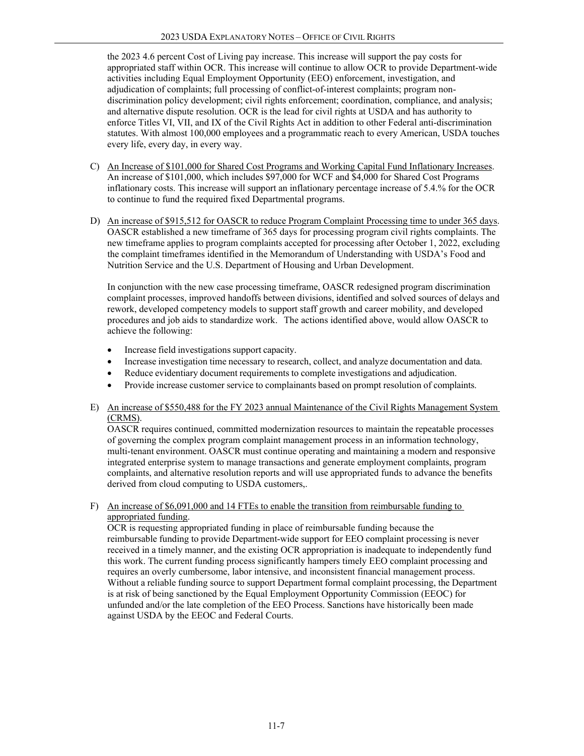the 2023 4.6 percent Cost of Living pay increase. This increase will support the pay costs for appropriated staff within OCR. This increase will continue to allow OCR to provide Department-wide activities including Equal Employment Opportunity (EEO) enforcement, investigation, and adjudication of complaints; full processing of conflict-of-interest complaints; program nondiscrimination policy development; civil rights enforcement; coordination, compliance, and analysis; and alternative dispute resolution. OCR is the lead for civil rights at USDA and has authority to enforce Titles VI, VII, and IX of the Civil Rights Act in addition to other Federal anti-discrimination statutes. With almost 100,000 employees and a programmatic reach to every American, USDA touches every life, every day, in every way.

- C) An Increase of \$101,000 for Shared Cost Programs and Working Capital Fund Inflationary Increases. An increase of \$101,000, which includes \$97,000 for WCF and \$4,000 for Shared Cost Programs inflationary costs. This increase will support an inflationary percentage increase of 5.4.% for the OCR to continue to fund the required fixed Departmental programs.
- D) An increase of \$915,512 for OASCR to reduce Program Complaint Processing time to under 365 days. OASCR established a new timeframe of 365 days for processing program civil rights complaints. The new timeframe applies to program complaints accepted for processing after October 1, 2022, excluding the complaint timeframes identified in the Memorandum of Understanding with USDA's Food and Nutrition Service and the U.S. Department of Housing and Urban Development.

In conjunction with the new case processing timeframe, OASCR redesigned program discrimination complaint processes, improved handoffs between divisions, identified and solved sources of delays and rework, developed competency models to support staff growth and career mobility, and developed procedures and job aids to standardize work. The actions identified above, would allow OASCR to achieve the following:

- Increase field investigations support capacity.
- Increase investigation time necessary to research, collect, and analyze documentation and data.
- Reduce evidentiary document requirements to complete investigations and adjudication.
- Provide increase customer service to complainants based on prompt resolution of complaints.

#### E) An increase of \$550,488 for the FY 2023 annual Maintenance of the Civil Rights Management System (CRMS).

OASCR requires continued, committed modernization resources to maintain the repeatable processes of governing the complex program complaint management process in an information technology, multi-tenant environment. OASCR must continue operating and maintaining a modern and responsive integrated enterprise system to manage transactions and generate employment complaints, program complaints, and alternative resolution reports and will use appropriated funds to advance the benefits derived from cloud computing to USDA customers,.

#### F) An increase of \$6,091,000 and 14 FTEs to enable the transition from reimbursable funding to appropriated funding.

OCR is requesting appropriated funding in place of reimbursable funding because the reimbursable funding to provide Department-wide support for EEO complaint processing is never received in a timely manner, and the existing OCR appropriation is inadequate to independently fund this work. The current funding process significantly hampers timely EEO complaint processing and requires an overly cumbersome, labor intensive, and inconsistent financial management process. Without a reliable funding source to support Department formal complaint processing, the Department is at risk of being sanctioned by the Equal Employment Opportunity Commission (EEOC) for unfunded and/or the late completion of the EEO Process. Sanctions have historically been made against USDA by the EEOC and Federal Courts.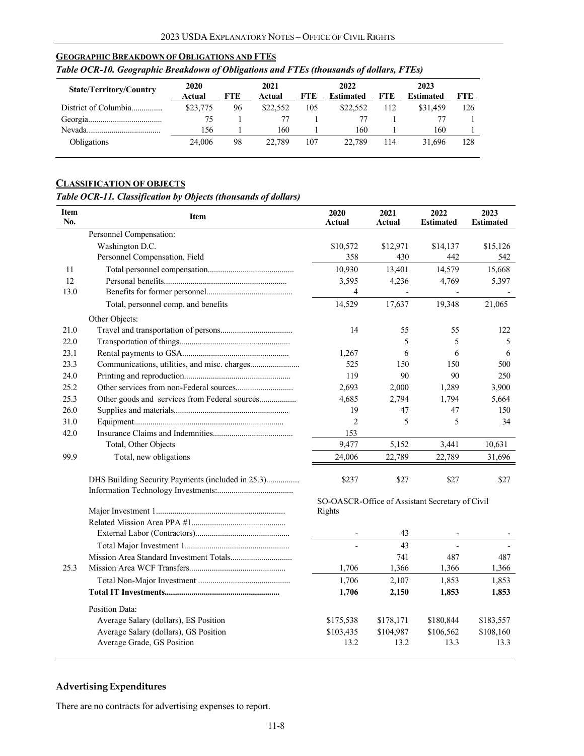#### <span id="page-7-0"></span>**GEOGRAPHIC BREAKDOWN OF OBLIGATIONS AND FTES**

| <b>State/Territory/Country</b> | 2020<br>Actual | FTE | 2021<br>Actual | FTE | 2022<br><b>Estimated</b> | <b>FTE</b> | 2023<br><b>Estimated</b> | <b>FTE</b> |
|--------------------------------|----------------|-----|----------------|-----|--------------------------|------------|--------------------------|------------|
| District of Columbia           | \$23,775       | 96  | \$22,552       | 105 | \$22,552                 | 112        | \$31,459                 | 126        |
|                                | 75             |     |                |     |                          |            |                          |            |
| Nevada                         | 156            |     | 160            |     | 160                      |            | 160                      |            |
| Obligations                    | 24,006         | 98  | 22.789         | 107 | 22.789                   | 114        | 31.696                   | 128        |

#### *Table OCR-10. Geographic Breakdown of Obligations and FTEs (thousands of dollars, FTEs)*

#### <span id="page-7-1"></span>**CLASSIFICATION OF OBJECTS**

#### *Table OCR-11. Classification by Objects (thousands of dollars)*

| Personnel Compensation:<br>Washington D.C.<br>\$10,572<br>\$12,971<br>\$14,137<br>\$15,126<br>Personnel Compensation, Field<br>358<br>430<br>442<br>542<br>10,930<br>13,401<br>14,579<br>15,668<br>11<br>12<br>3,595<br>4,236<br>5,397<br>4,769<br>13.0<br>4<br>Total, personnel comp. and benefits<br>14,529<br>17,637<br>19,348<br>21,065<br>Other Objects:<br>21.0<br>14<br>55<br>55<br>122<br>22.0<br>5<br>5<br>5<br>23.1<br>6<br>6<br>1,267<br>6<br>23.3<br>525<br>150<br>150<br>500<br>24.0<br>119<br>90<br>90<br>250<br>25.2<br>2,693<br>2,000<br>1,289<br>3,900<br>25.3<br>Other goods and services from Federal sources<br>4,685<br>2,794<br>1,794<br>5,664<br>26.0<br>19<br>47<br>47<br>150<br>$\overline{\mathbf{c}}$<br>31.0<br>5<br>5<br>34<br>42.0<br>153<br>9,477<br>Total, Other Objects<br>5,152<br>3,441<br>10,631<br>99.9<br>Total, new obligations<br>31,696<br>24,006<br>22,789<br>22,789<br>DHS Building Security Payments (included in 25.3)<br>\$237<br>\$27<br>\$27<br>\$27<br>SO-OASCR-Office of Assistant Secretary of Civil<br>Rights<br>43<br>43<br>741<br>487<br>487<br>25.3<br>1.706<br>1,366<br>1,366<br>1,366<br>1,706<br>2,107<br>1,853<br>1,853<br>1,706<br>2,150<br>1,853<br>1,853<br><b>Position Data:</b><br>Average Salary (dollars), ES Position<br>\$175,538<br>\$178,171<br>\$180,844<br>\$183,557<br>Average Salary (dollars), GS Position<br>\$103,435<br>\$104,987<br>\$106,562<br>\$108,160<br>13.2<br>13.3<br>13.3<br>13.2 | Item<br>No. | <b>Item</b>                | 2020<br><b>Actual</b> | 2021<br>Actual | 2022<br><b>Estimated</b> | 2023<br><b>Estimated</b> |
|---------------------------------------------------------------------------------------------------------------------------------------------------------------------------------------------------------------------------------------------------------------------------------------------------------------------------------------------------------------------------------------------------------------------------------------------------------------------------------------------------------------------------------------------------------------------------------------------------------------------------------------------------------------------------------------------------------------------------------------------------------------------------------------------------------------------------------------------------------------------------------------------------------------------------------------------------------------------------------------------------------------------------------------------------------------------------------------------------------------------------------------------------------------------------------------------------------------------------------------------------------------------------------------------------------------------------------------------------------------------------------------------------------------------------------------------------------------------------|-------------|----------------------------|-----------------------|----------------|--------------------------|--------------------------|
|                                                                                                                                                                                                                                                                                                                                                                                                                                                                                                                                                                                                                                                                                                                                                                                                                                                                                                                                                                                                                                                                                                                                                                                                                                                                                                                                                                                                                                                                           |             |                            |                       |                |                          |                          |
|                                                                                                                                                                                                                                                                                                                                                                                                                                                                                                                                                                                                                                                                                                                                                                                                                                                                                                                                                                                                                                                                                                                                                                                                                                                                                                                                                                                                                                                                           |             |                            |                       |                |                          |                          |
|                                                                                                                                                                                                                                                                                                                                                                                                                                                                                                                                                                                                                                                                                                                                                                                                                                                                                                                                                                                                                                                                                                                                                                                                                                                                                                                                                                                                                                                                           |             |                            |                       |                |                          |                          |
|                                                                                                                                                                                                                                                                                                                                                                                                                                                                                                                                                                                                                                                                                                                                                                                                                                                                                                                                                                                                                                                                                                                                                                                                                                                                                                                                                                                                                                                                           |             |                            |                       |                |                          |                          |
|                                                                                                                                                                                                                                                                                                                                                                                                                                                                                                                                                                                                                                                                                                                                                                                                                                                                                                                                                                                                                                                                                                                                                                                                                                                                                                                                                                                                                                                                           |             |                            |                       |                |                          |                          |
|                                                                                                                                                                                                                                                                                                                                                                                                                                                                                                                                                                                                                                                                                                                                                                                                                                                                                                                                                                                                                                                                                                                                                                                                                                                                                                                                                                                                                                                                           |             |                            |                       |                |                          |                          |
|                                                                                                                                                                                                                                                                                                                                                                                                                                                                                                                                                                                                                                                                                                                                                                                                                                                                                                                                                                                                                                                                                                                                                                                                                                                                                                                                                                                                                                                                           |             |                            |                       |                |                          |                          |
|                                                                                                                                                                                                                                                                                                                                                                                                                                                                                                                                                                                                                                                                                                                                                                                                                                                                                                                                                                                                                                                                                                                                                                                                                                                                                                                                                                                                                                                                           |             |                            |                       |                |                          |                          |
|                                                                                                                                                                                                                                                                                                                                                                                                                                                                                                                                                                                                                                                                                                                                                                                                                                                                                                                                                                                                                                                                                                                                                                                                                                                                                                                                                                                                                                                                           |             |                            |                       |                |                          |                          |
|                                                                                                                                                                                                                                                                                                                                                                                                                                                                                                                                                                                                                                                                                                                                                                                                                                                                                                                                                                                                                                                                                                                                                                                                                                                                                                                                                                                                                                                                           |             |                            |                       |                |                          |                          |
|                                                                                                                                                                                                                                                                                                                                                                                                                                                                                                                                                                                                                                                                                                                                                                                                                                                                                                                                                                                                                                                                                                                                                                                                                                                                                                                                                                                                                                                                           |             |                            |                       |                |                          |                          |
|                                                                                                                                                                                                                                                                                                                                                                                                                                                                                                                                                                                                                                                                                                                                                                                                                                                                                                                                                                                                                                                                                                                                                                                                                                                                                                                                                                                                                                                                           |             |                            |                       |                |                          |                          |
|                                                                                                                                                                                                                                                                                                                                                                                                                                                                                                                                                                                                                                                                                                                                                                                                                                                                                                                                                                                                                                                                                                                                                                                                                                                                                                                                                                                                                                                                           |             |                            |                       |                |                          |                          |
|                                                                                                                                                                                                                                                                                                                                                                                                                                                                                                                                                                                                                                                                                                                                                                                                                                                                                                                                                                                                                                                                                                                                                                                                                                                                                                                                                                                                                                                                           |             |                            |                       |                |                          |                          |
|                                                                                                                                                                                                                                                                                                                                                                                                                                                                                                                                                                                                                                                                                                                                                                                                                                                                                                                                                                                                                                                                                                                                                                                                                                                                                                                                                                                                                                                                           |             |                            |                       |                |                          |                          |
|                                                                                                                                                                                                                                                                                                                                                                                                                                                                                                                                                                                                                                                                                                                                                                                                                                                                                                                                                                                                                                                                                                                                                                                                                                                                                                                                                                                                                                                                           |             |                            |                       |                |                          |                          |
|                                                                                                                                                                                                                                                                                                                                                                                                                                                                                                                                                                                                                                                                                                                                                                                                                                                                                                                                                                                                                                                                                                                                                                                                                                                                                                                                                                                                                                                                           |             |                            |                       |                |                          |                          |
|                                                                                                                                                                                                                                                                                                                                                                                                                                                                                                                                                                                                                                                                                                                                                                                                                                                                                                                                                                                                                                                                                                                                                                                                                                                                                                                                                                                                                                                                           |             |                            |                       |                |                          |                          |
|                                                                                                                                                                                                                                                                                                                                                                                                                                                                                                                                                                                                                                                                                                                                                                                                                                                                                                                                                                                                                                                                                                                                                                                                                                                                                                                                                                                                                                                                           |             |                            |                       |                |                          |                          |
|                                                                                                                                                                                                                                                                                                                                                                                                                                                                                                                                                                                                                                                                                                                                                                                                                                                                                                                                                                                                                                                                                                                                                                                                                                                                                                                                                                                                                                                                           |             |                            |                       |                |                          |                          |
|                                                                                                                                                                                                                                                                                                                                                                                                                                                                                                                                                                                                                                                                                                                                                                                                                                                                                                                                                                                                                                                                                                                                                                                                                                                                                                                                                                                                                                                                           |             |                            |                       |                |                          |                          |
|                                                                                                                                                                                                                                                                                                                                                                                                                                                                                                                                                                                                                                                                                                                                                                                                                                                                                                                                                                                                                                                                                                                                                                                                                                                                                                                                                                                                                                                                           |             |                            |                       |                |                          |                          |
|                                                                                                                                                                                                                                                                                                                                                                                                                                                                                                                                                                                                                                                                                                                                                                                                                                                                                                                                                                                                                                                                                                                                                                                                                                                                                                                                                                                                                                                                           |             |                            |                       |                |                          |                          |
|                                                                                                                                                                                                                                                                                                                                                                                                                                                                                                                                                                                                                                                                                                                                                                                                                                                                                                                                                                                                                                                                                                                                                                                                                                                                                                                                                                                                                                                                           |             |                            |                       |                |                          |                          |
|                                                                                                                                                                                                                                                                                                                                                                                                                                                                                                                                                                                                                                                                                                                                                                                                                                                                                                                                                                                                                                                                                                                                                                                                                                                                                                                                                                                                                                                                           |             |                            |                       |                |                          |                          |
|                                                                                                                                                                                                                                                                                                                                                                                                                                                                                                                                                                                                                                                                                                                                                                                                                                                                                                                                                                                                                                                                                                                                                                                                                                                                                                                                                                                                                                                                           |             |                            |                       |                |                          |                          |
|                                                                                                                                                                                                                                                                                                                                                                                                                                                                                                                                                                                                                                                                                                                                                                                                                                                                                                                                                                                                                                                                                                                                                                                                                                                                                                                                                                                                                                                                           |             |                            |                       |                |                          |                          |
|                                                                                                                                                                                                                                                                                                                                                                                                                                                                                                                                                                                                                                                                                                                                                                                                                                                                                                                                                                                                                                                                                                                                                                                                                                                                                                                                                                                                                                                                           |             |                            |                       |                |                          |                          |
|                                                                                                                                                                                                                                                                                                                                                                                                                                                                                                                                                                                                                                                                                                                                                                                                                                                                                                                                                                                                                                                                                                                                                                                                                                                                                                                                                                                                                                                                           |             |                            |                       |                |                          |                          |
|                                                                                                                                                                                                                                                                                                                                                                                                                                                                                                                                                                                                                                                                                                                                                                                                                                                                                                                                                                                                                                                                                                                                                                                                                                                                                                                                                                                                                                                                           |             |                            |                       |                |                          |                          |
|                                                                                                                                                                                                                                                                                                                                                                                                                                                                                                                                                                                                                                                                                                                                                                                                                                                                                                                                                                                                                                                                                                                                                                                                                                                                                                                                                                                                                                                                           |             |                            |                       |                |                          |                          |
|                                                                                                                                                                                                                                                                                                                                                                                                                                                                                                                                                                                                                                                                                                                                                                                                                                                                                                                                                                                                                                                                                                                                                                                                                                                                                                                                                                                                                                                                           |             |                            |                       |                |                          |                          |
|                                                                                                                                                                                                                                                                                                                                                                                                                                                                                                                                                                                                                                                                                                                                                                                                                                                                                                                                                                                                                                                                                                                                                                                                                                                                                                                                                                                                                                                                           |             | Average Grade, GS Position |                       |                |                          |                          |

### **Advertising Expenditures**

There are no contracts for advertising expenses to report.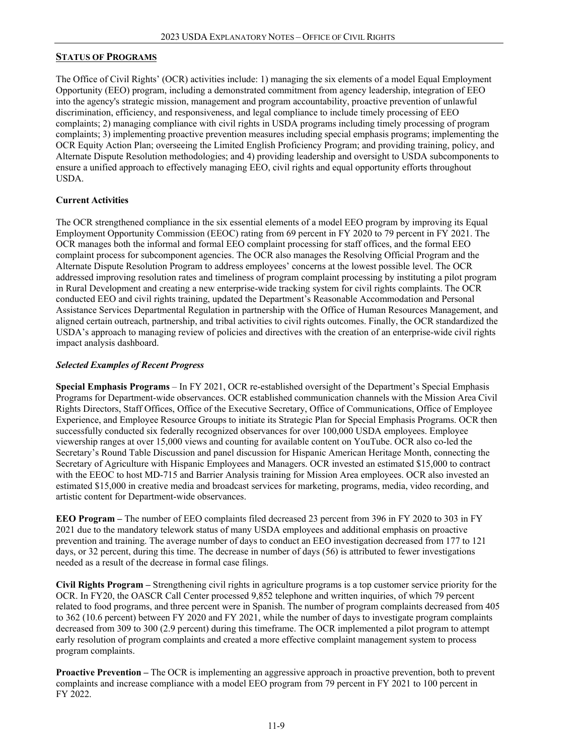#### <span id="page-8-0"></span>**STATUS OF PROGRAMS**

The Office of Civil Rights' (OCR) activities include: 1) managing the six elements of a model Equal Employment Opportunity (EEO) program, including a demonstrated commitment from agency leadership, integration of EEO into the agency's strategic mission, management and program accountability, proactive prevention of unlawful discrimination, efficiency, and responsiveness, and legal compliance to include timely processing of EEO complaints; 2) managing compliance with civil rights in USDA programs including timely processing of program complaints; 3) implementing proactive prevention measures including special emphasis programs; implementing the OCR Equity Action Plan; overseeing the Limited English Proficiency Program; and providing training, policy, and Alternate Dispute Resolution methodologies; and 4) providing leadership and oversight to USDA subcomponents to ensure a unified approach to effectively managing EEO, civil rights and equal opportunity efforts throughout USDA.

#### **Current Activities**

The OCR strengthened compliance in the six essential elements of a model EEO program by improving its Equal Employment Opportunity Commission (EEOC) rating from 69 percent in FY 2020 to 79 percent in FY 2021. The OCR manages both the informal and formal EEO complaint processing for staff offices, and the formal EEO complaint process for subcomponent agencies. The OCR also manages the Resolving Official Program and the Alternate Dispute Resolution Program to address employees' concerns at the lowest possible level. The OCR addressed improving resolution rates and timeliness of program complaint processing by instituting a pilot program in Rural Development and creating a new enterprise-wide tracking system for civil rights complaints. The OCR conducted EEO and civil rights training, updated the Department's Reasonable Accommodation and Personal Assistance Services Departmental Regulation in partnership with the Office of Human Resources Management, and aligned certain outreach, partnership, and tribal activities to civil rights outcomes. Finally, the OCR standardized the USDA's approach to managing review of policies and directives with the creation of an enterprise-wide civil rights impact analysis dashboard.

#### *Selected Examples of Recent Progress*

**Special Emphasis Programs** – In FY 2021, OCR re-established oversight of the Department's Special Emphasis Programs for Department-wide observances. OCR established communication channels with the Mission Area Civil Rights Directors, Staff Offices, Office of the Executive Secretary, Office of Communications, Office of Employee Experience, and Employee Resource Groups to initiate its Strategic Plan for Special Emphasis Programs. OCR then successfully conducted six federally recognized observances for over 100,000 USDA employees. Employee viewership ranges at over 15,000 views and counting for available content on YouTube. OCR also co-led the Secretary's Round Table Discussion and panel discussion for Hispanic American Heritage Month, connecting the Secretary of Agriculture with Hispanic Employees and Managers. OCR invested an estimated \$15,000 to contract with the EEOC to host MD-715 and Barrier Analysis training for Mission Area employees. OCR also invested an estimated \$15,000 in creative media and broadcast services for marketing, programs, media, video recording, and artistic content for Department-wide observances.

**EEO Program –** The number of EEO complaints filed decreased 23 percent from 396 in FY 2020 to 303 in FY 2021 due to the mandatory telework status of many USDA employees and additional emphasis on proactive prevention and training. The average number of days to conduct an EEO investigation decreased from 177 to 121 days, or 32 percent, during this time. The decrease in number of days (56) is attributed to fewer investigations needed as a result of the decrease in formal case filings.

**Civil Rights Program –** Strengthening civil rights in agriculture programs is a top customer service priority for the OCR. In FY20, the OASCR Call Center processed 9,852 telephone and written inquiries, of which 79 percent related to food programs, and three percent were in Spanish. The number of program complaints decreased from 405 to 362 (10.6 percent) between FY 2020 and FY 2021, while the number of days to investigate program complaints decreased from 309 to 300 (2.9 percent) during this timeframe. The OCR implemented a pilot program to attempt early resolution of program complaints and created a more effective complaint management system to process program complaints.

**Proactive Prevention –** The OCR is implementing an aggressive approach in proactive prevention, both to prevent complaints and increase compliance with a model EEO program from 79 percent in FY 2021 to 100 percent in FY 2022.